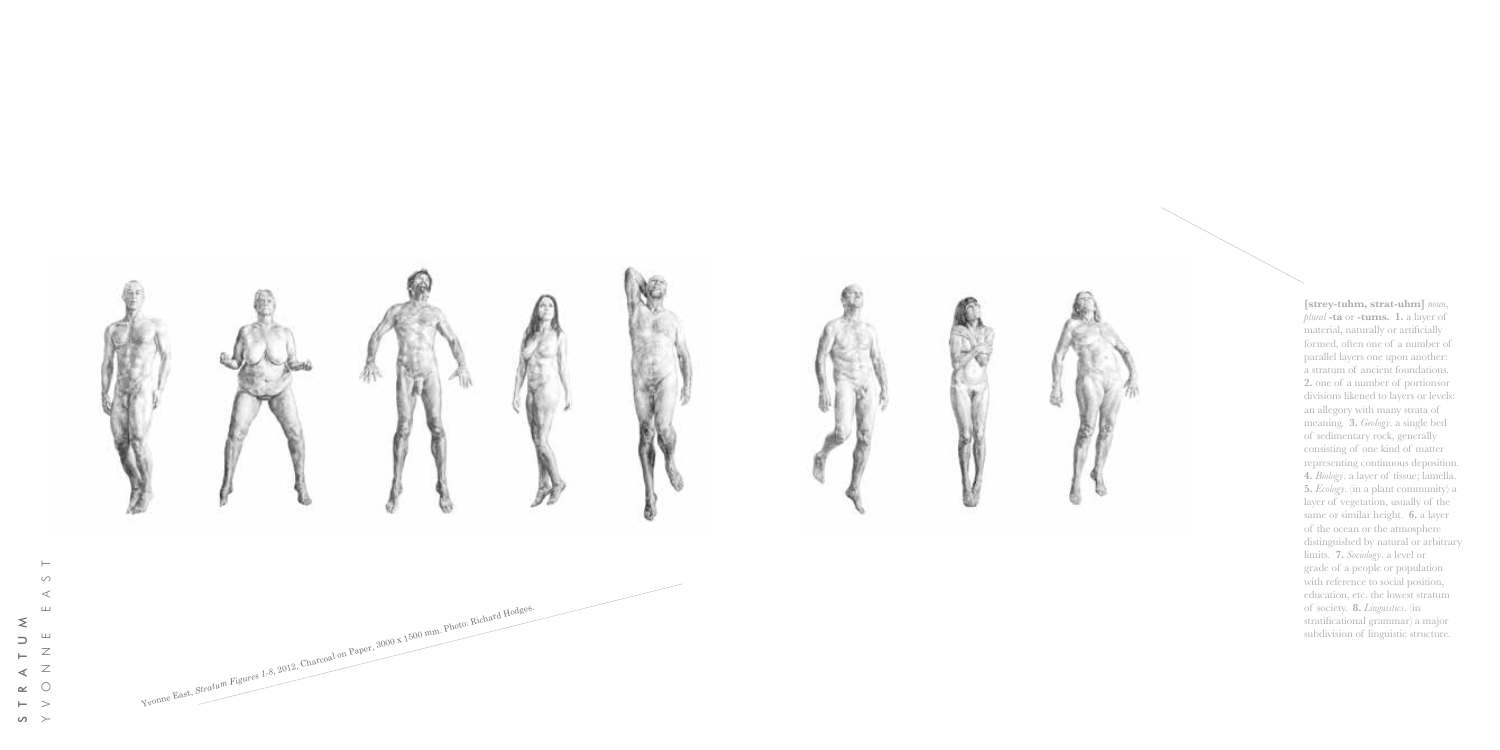



STRATUM

HS K H H H Z Z O A A

 $\longleftarrow$  $\circ$  $\prec$  $\sqcup$  $\leq$  $\quad \Box$  $\supset$  $\mathbb Z$  $\leftarrow$  $\leq$   $\geq$  $\sim$   $\circ$  $\vdash$  >  $\infty$  >



**[strey-tuhm, strat-uhm]** *noun*, *plural* **-ta** or **-tums. 1.** a layer of material, naturally or artificially formed, often one of a number of parallel layers one upon another: a stratum of ancient foundations. **2.** one of a number of portionsor divisions likened to layers or levels: an allegory with many strata of meaning. **3.** *Geology*. a single bed of sedimentary rock, generally consisting of one kind of matter representing continuous deposition. **4.** *Biology*. a layer of tissue; lamella. **5.** *Ecology*. (in a plant community) a layer of vegetation, usually of the same or similar height. **6.** a layer of the ocean or the atmosphere distinguished by natural or arbitrary limits. **7.** *Sociology*. a level or grade of a people or population with reference to social position, education, etc. the lowest stratum of society. **8.** *Linguistics*. (in stratificational grammar) a major subdivision of linguistic structure.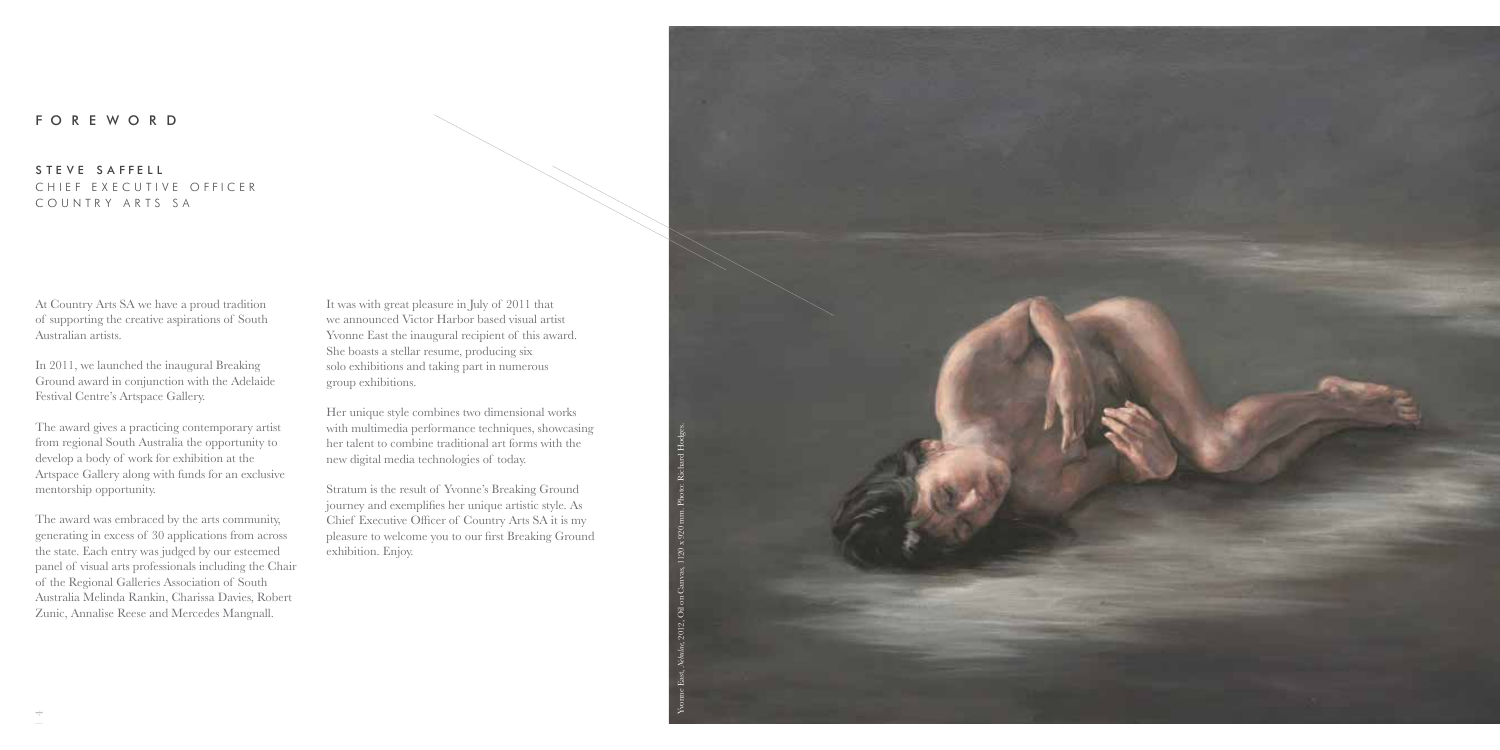## FOREWORD

## STEVE SAFFELL CHIEF EXECUTIVE OFFICER COUNTRY ARTS SA

At Country Arts SA we have a proud tradition of supporting the creative aspirations of South Australian artists.

In 2011, we launched the inaugural Breaking Ground award in conjunction with the Adelaide Festival Centre's Artspace Gallery.

The award gives a practicing contemporary artist from regional South Australia the opportunity to develop a body of work for exhibition at the Artspace Gallery along with funds for an exclusive mentorship opportunity.

The award was embraced by the arts community, generating in excess of 30 applications from across the state. Each entry was judged by our esteemed panel of visual arts professionals including the Chair of the Regional Galleries Association of South Australia Melinda Rankin, Charissa Davies, Robert Zunic, Annalise Reese and Mercedes Mangnall.

It was with great pleasure in July of 2011 that we announced Victor Harbor based visual artist Yvonne East the inaugural recipient of this award. She boasts a stellar resume, producing six solo exhibitions and taking part in numerous group exhibitions.

Her unique style combines two dimensional works with multimedia performance techniques, showcasing her talent to combine traditional art forms with the new digital media technologies of today.

Stratum is the result of Yvonne's Breaking Ground journey and exemplifies her unique artistic style. As Chief Executive Officer of Country Arts SA it is my pleasure to welcome you to our first Breaking Ground exhibition. Enjoy.

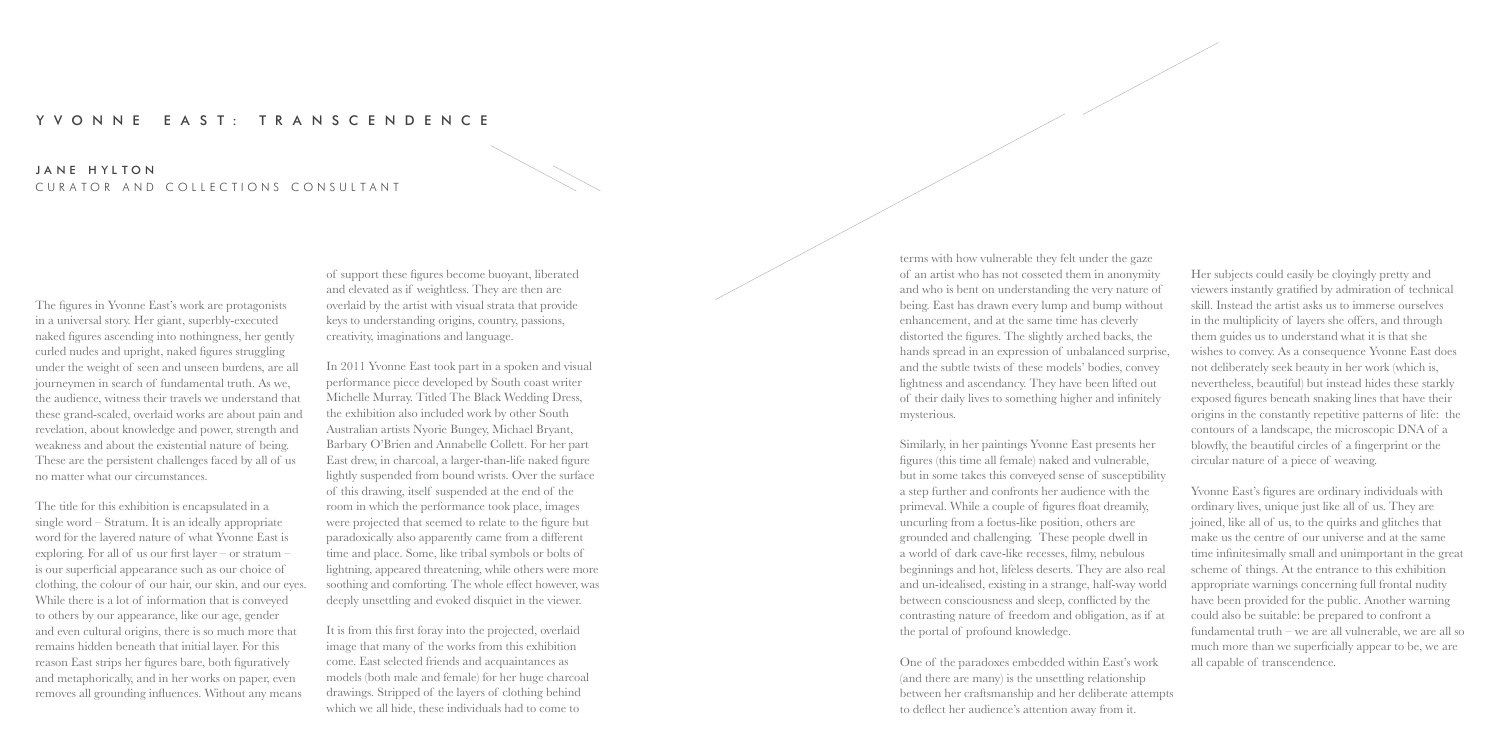## YVONNE EAST: TRANSCENDENCE

## JANE HYLTON CURATOR AND COLLECTIONS CONSULTANT

The figures in Yvonne East's work are protagonists in a universal story. Her giant, superbly-executed naked figures ascending into nothingness, her gently curled nudes and upright, naked figures struggling under the weight of seen and unseen burdens, are all journeymen in search of fundamental truth. As we, the audience, witness their travels we understand that these grand-scaled, overlaid works are about pain and revelation, about knowledge and power, strength and weakness and about the existential nature of being. These are the persistent challenges faced by all of us no matter what our circumstances.

The title for this exhibition is encapsulated in a single word – Stratum. It is an ideally appropriate word for the layered nature of what Yvonne East is exploring. For all of us our first layer – or stratum – is our superficial appearance such as our choice of clothing, the colour of our hair, our skin, and our eyes. While there is a lot of information that is conveyed to others by our appearance, like our age, gender and even cultural origins, there is so much more that remains hidden beneath that initial layer. For this reason East strips her figures bare, both figuratively and metaphorically, and in her works on paper, even removes all grounding influences. Without any means

of support these figures become buoyant, liberated and elevated as if weightless. They are then are overlaid by the artist with visual strata that provide keys to understanding origins, country, passions, creativity, imaginations and language.

In 2011 Yvonne East took part in a spoken and visual performance piece developed by South coast writer Michelle Murray. Titled The Black Wedding Dress, the exhibition also included work by other South Australian artists Nyorie Bungey, Michael Bryant, Barbary O'Brien and Annabelle Collett. For her part East drew, in charcoal, a larger-than-life naked figure lightly suspended from bound wrists. Over the surface of this drawing, itself suspended at the end of the room in which the performance took place, images were projected that seemed to relate to the figure but paradoxically also apparently came from a different time and place. Some, like tribal symbols or bolts of lightning, appeared threatening, while others were more soothing and comforting. The whole effect however, was deeply unsettling and evoked disquiet in the viewer.

It is from this first foray into the projected, overlaid image that many of the works from this exhibition come. East selected friends and acquaintances as models (both male and female) for her huge charcoal drawings. Stripped of the layers of clothing behind which we all hide, these individuals had to come to

terms with how vulnerable they felt under the gaze of an artist who has not cosseted them in anonymity and who is bent on understanding the very nature of being. East has drawn every lump and bump without enhancement, and at the same time has cleverly distorted the figures. The slightly arched backs, the hands spread in an expression of unbalanced surprise, and the subtle twists of these models' bodies, convey lightness and ascendancy. They have been lifted out of their daily lives to something higher and infinitely mysterious.

Similarly, in her paintings Yvonne East presents her figures (this time all female) naked and vulnerable, but in some takes this conveyed sense of susceptibility a step further and confronts her audience with the primeval. While a couple of figures float dreamily, uncurling from a foetus-like position, others are grounded and challenging. These people dwell in a world of dark cave-like recesses, filmy, nebulous beginnings and hot, lifeless deserts. They are also real and un-idealised, existing in a strange, half-way world between consciousness and sleep, conflicted by the contrasting nature of freedom and obligation, as if at the portal of profound knowledge.

One of the paradoxes embedded within East's work (and there are many) is the unsettling relationship between her craftsmanship and her deliberate attempts to deflect her audience's attention away from it.

Her subjects could easily be cloyingly pretty and viewers instantly gratified by admiration of technical skill. Instead the artist asks us to immerse ourselves in the multiplicity of layers she offers, and through them guides us to understand what it is that she wishes to convey. As a consequence Yvonne East does not deliberately seek beauty in her work (which is, nevertheless, beautiful) but instead hides these starkly exposed figures beneath snaking lines that have their origins in the constantly repetitive patterns of life: the contours of a landscape, the microscopic DNA of a blowfly, the beautiful circles of a fingerprint or the circular nature of a piece of weaving.

Yvonne East's figures are ordinary individuals with ordinary lives, unique just like all of us. They are joined, like all of us, to the quirks and glitches that make us the centre of our universe and at the same time infinitesimally small and unimportant in the great scheme of things. At the entrance to this exhibition appropriate warnings concerning full frontal nudity have been provided for the public. Another warning could also be suitable: be prepared to confront a fundamental truth – we are all vulnerable, we are all so much more than we superficially appear to be, we are all capable of transcendence.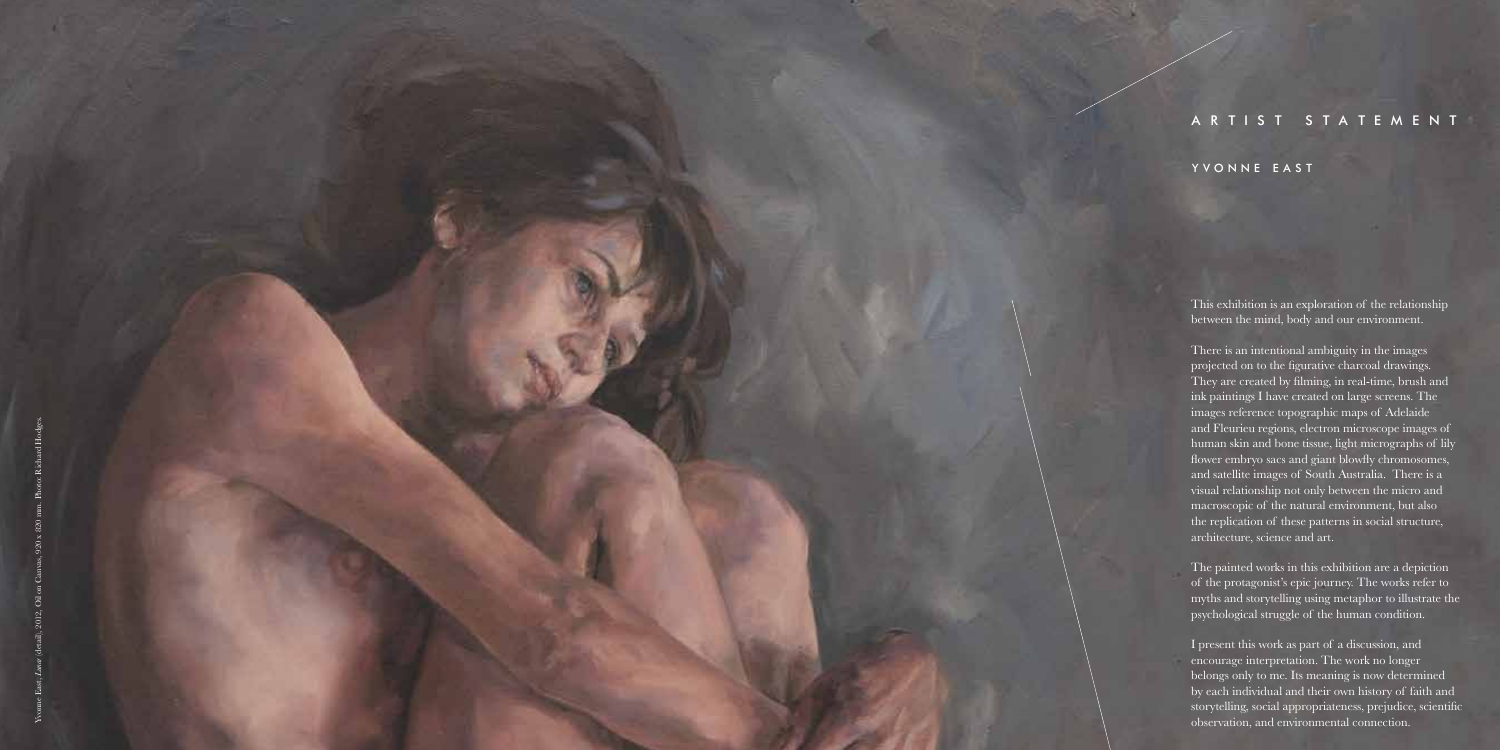# ARTIST STATEMENT

## YVONNE EAST

This exhibition is an exploration of the relationship between the mind, body and our environment.

There is an intentional ambiguity in the images projected on to the figurative charcoal drawings. They are created by filming, in real-time, brush and ink paintings I have created on large screens. The images reference topographic maps of Adelaide and Fleurieu regions, electron microscope images of human skin and bone tissue, light micrographs of lily flower embryo sacs and giant blowfly chromosomes, and satellite images of South Australia. There is a visual relationship not only between the micro and macroscopic of the natural environment, but also the replication of these patterns in social structure, architecture, science and art.

The painted works in this exhibition are a depiction of the protagonist's epic journey. The works refer to myths and storytelling using metaphor to illustrate the psychological struggle of the human condition.

Yvonne East, *Lunar* (detail), 2012, Oil on Canvas, 920 x 820 mm. Photo: Richard Hodges.

I present this work as part of a discussion, and encourage interpretation. The work no longer belongs only to me. Its meaning is now determined by each individual and their own history of faith and storytelling, social appropriateness, prejudice, scientific observation, and environmental connection.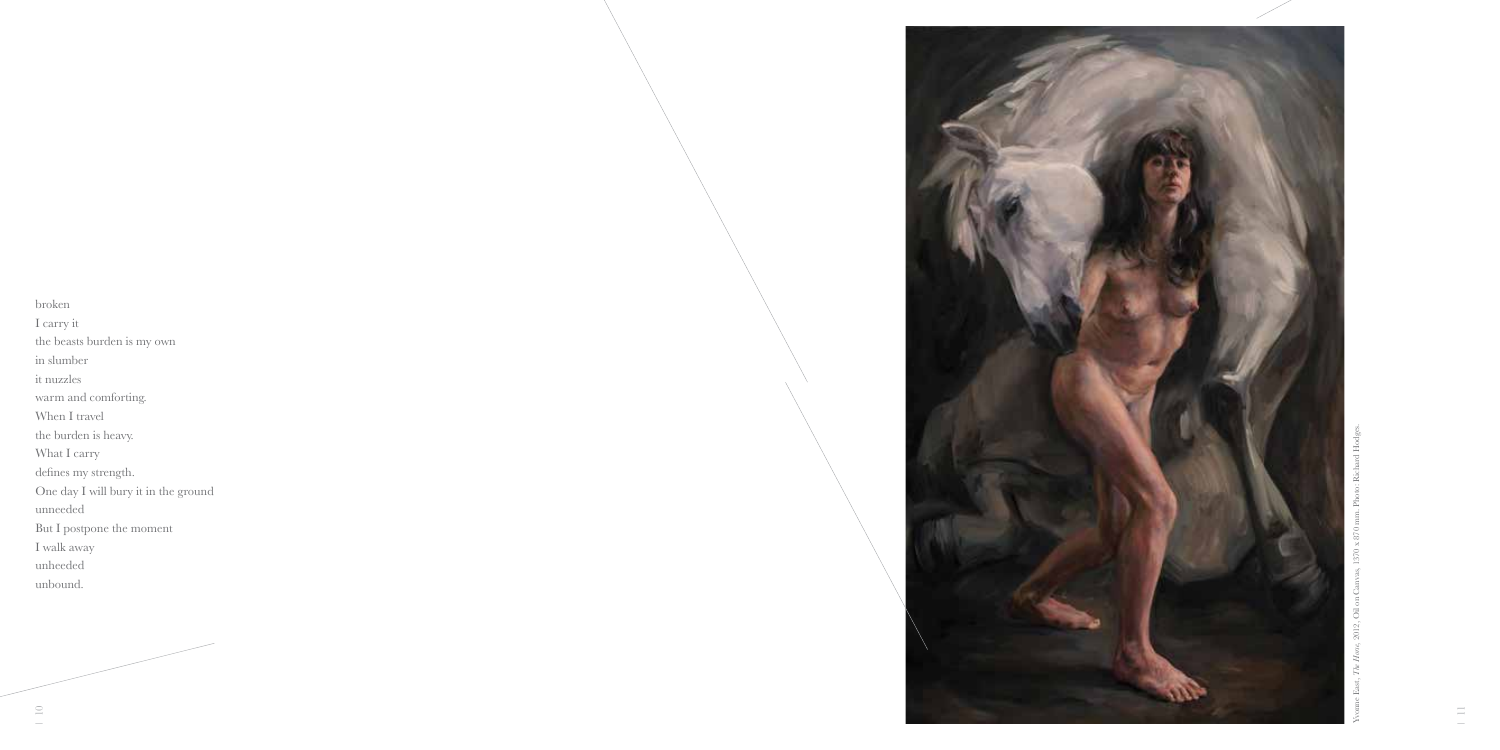broken

I carry it

the beasts burden is my own

in slumber

it nuzzles

warm and comforting.

When I travel

the burden is heavy.

What I carry

defines my strength.

One day I will bury it in the ground

unneeded

But I postpone the moment

I walk away

unheeded

unbound.



Yvonne East, *The Horse*, 2012, Oil on Canvas, 1370 x 870 mm. Photo: Richard Hodges.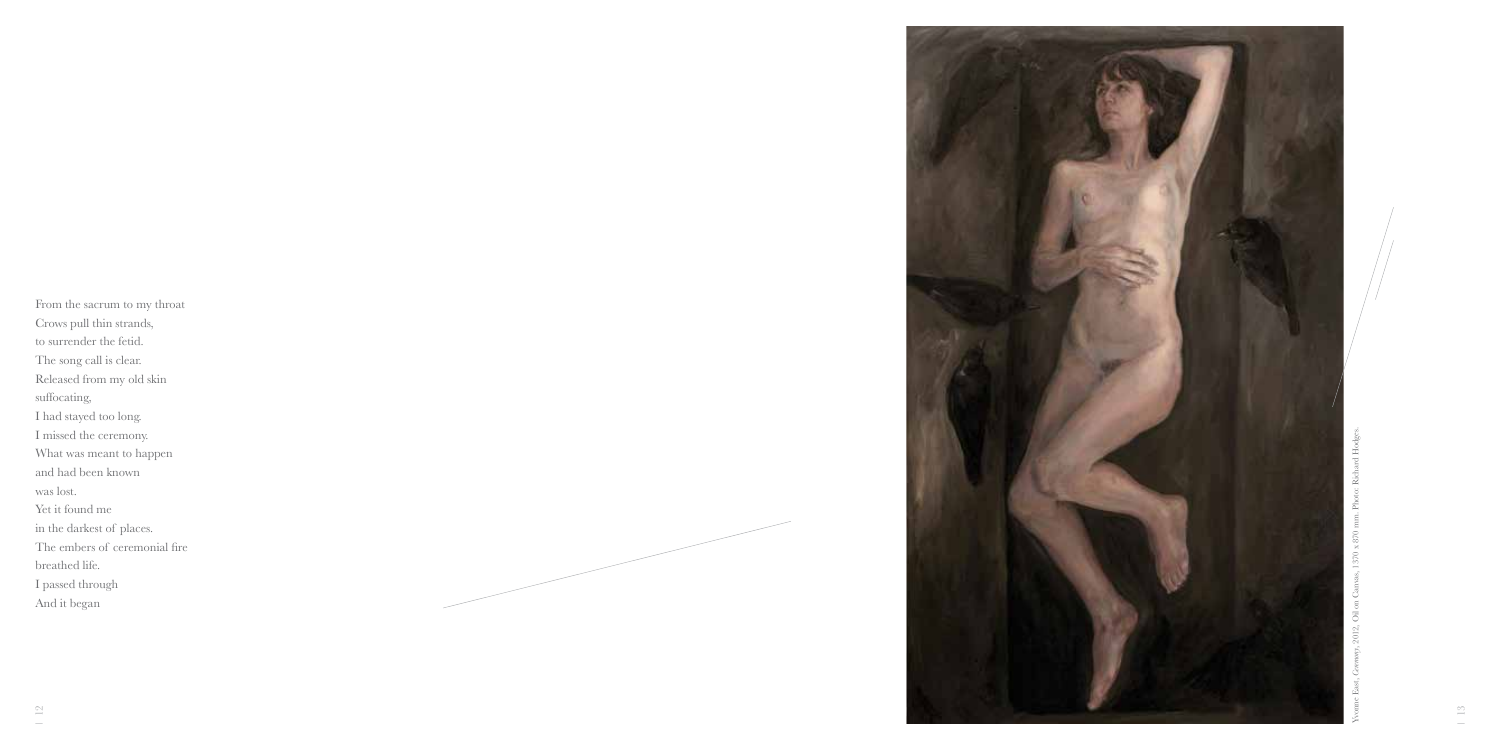From the sacrum to my throat Crows pull thin strands, to surrender the fetid.

The song call is clear.

Released from my old skin

suffocating,

I had stayed too long.

I missed the ceremony.

What was meant to happen

and had been known

was lost.

Yet it found me

in the darkest of places.

The embers of ceremonial fire

breathed life.

I passed through

And it began



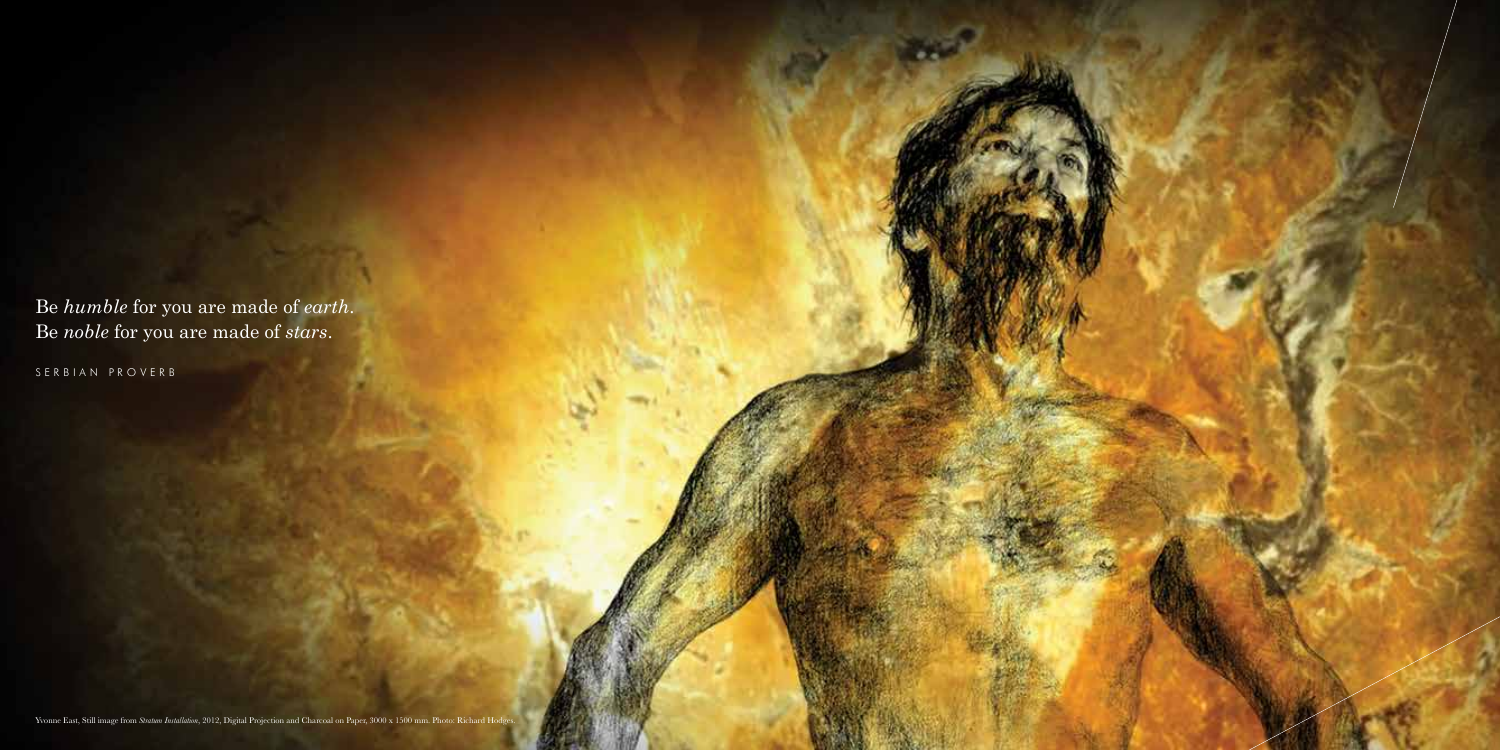Be *humble* for you are made of *earth*. Be *noble* for you are made of *stars*.

SERBIAN PROVERB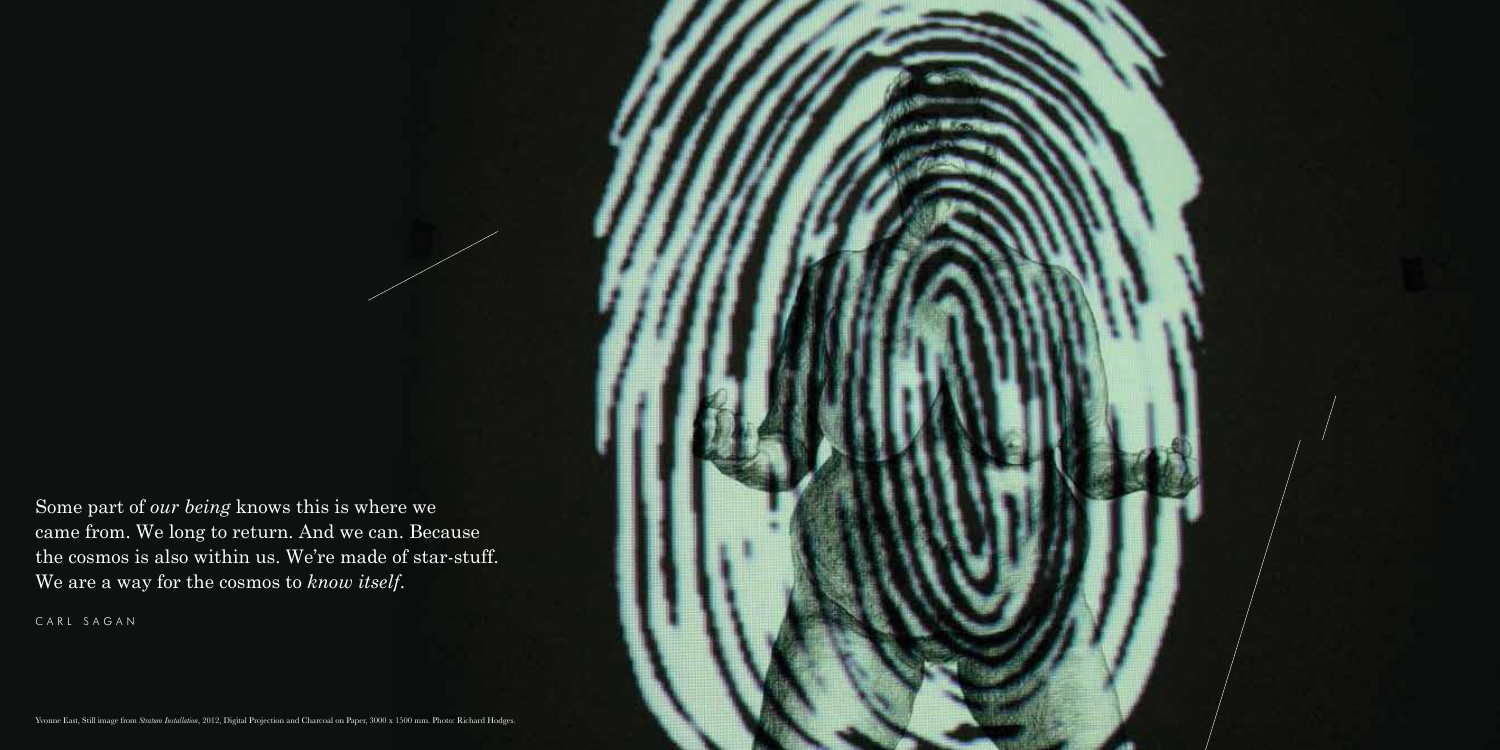Some part of *our being* knows this is where we came from. We long to return. And we can. Because the cosmos is also within us. We're made of star-stuff. We are a way for the cosmos to *know itself*.

CARL SAGAN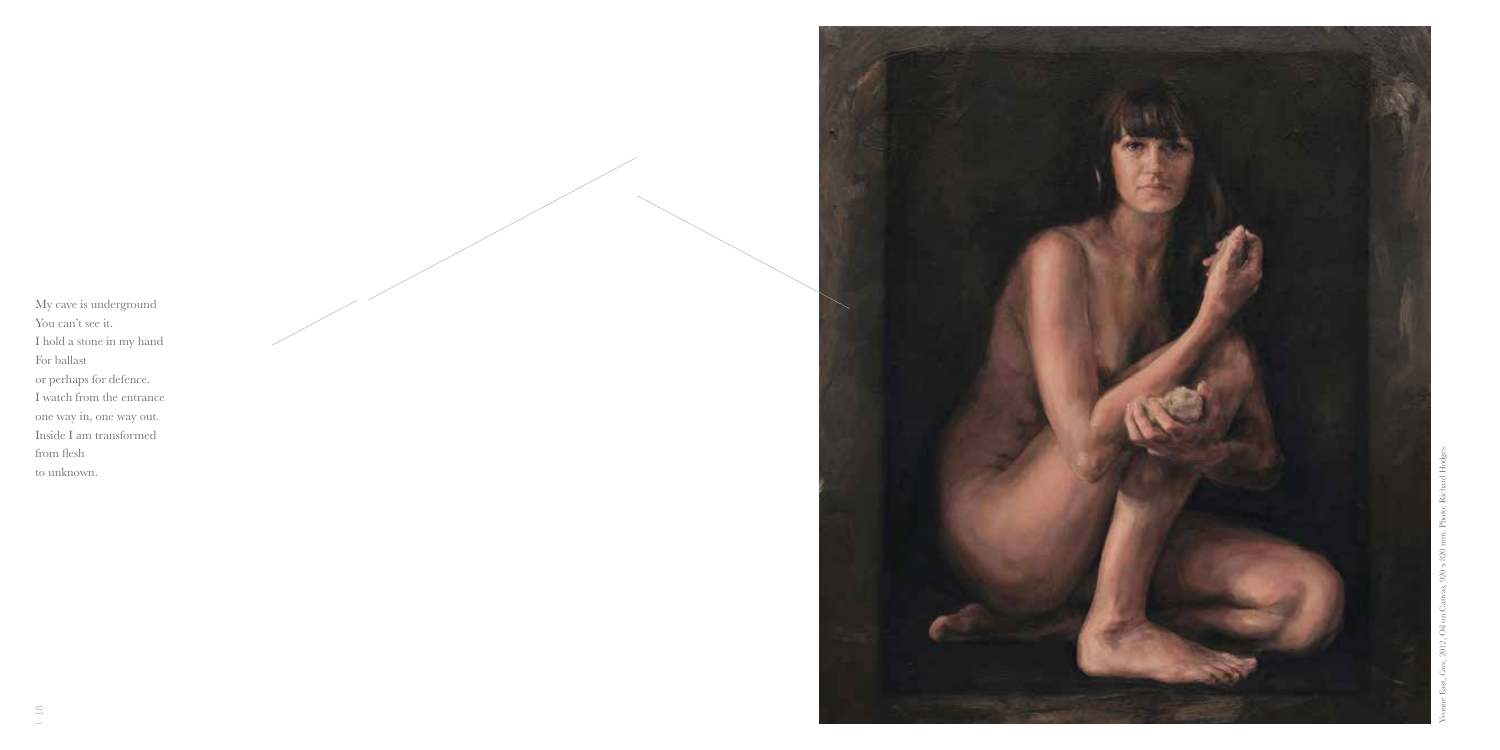My cave is underground You can't see it. I hold a stone in my hand For ballast or perhaps for defence. I watch from the entrance one way in, one way out. Inside I am transformed from flesh to unknown.

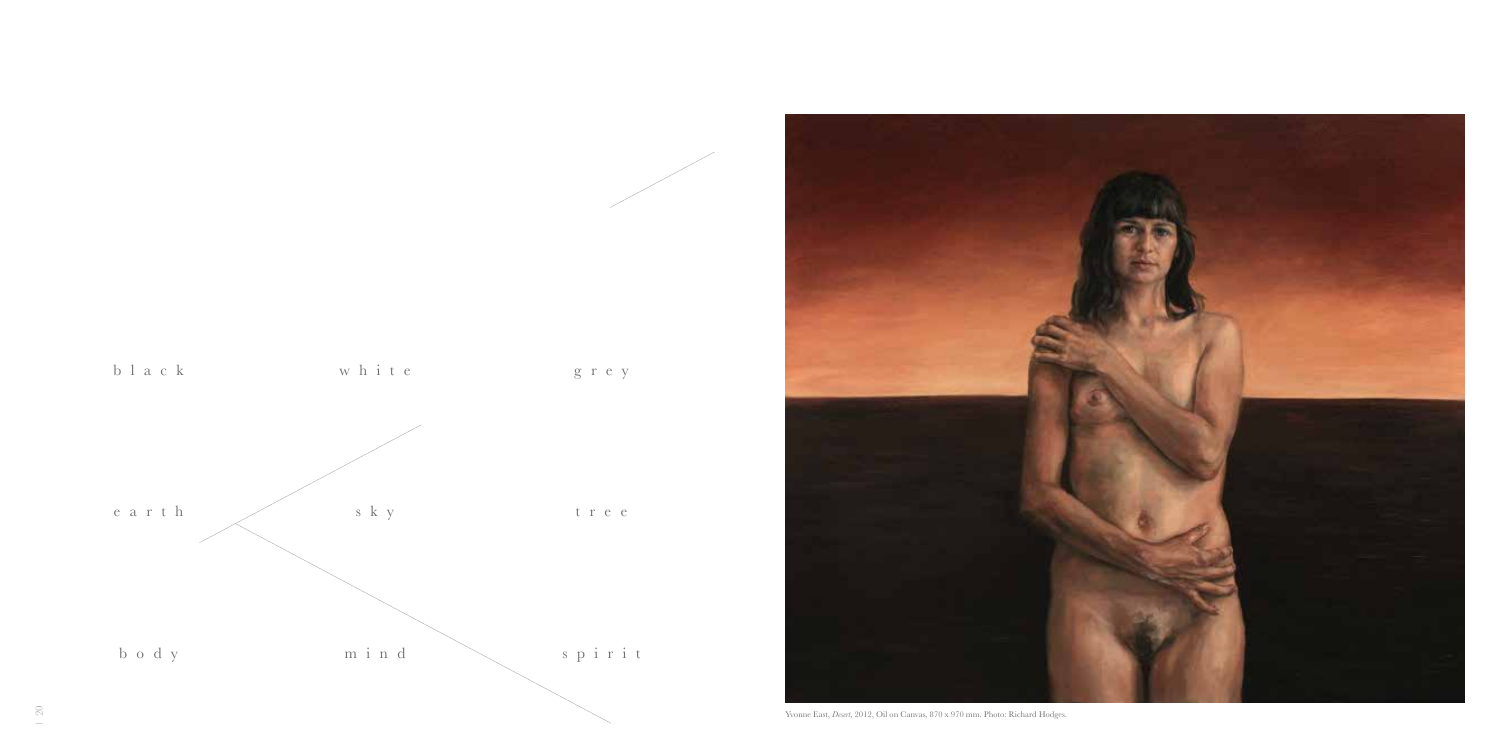







Yvonne East, *Desert*, 2012, Oil on Canvas, 870 x 970 mm. Photo: Richard Hodges.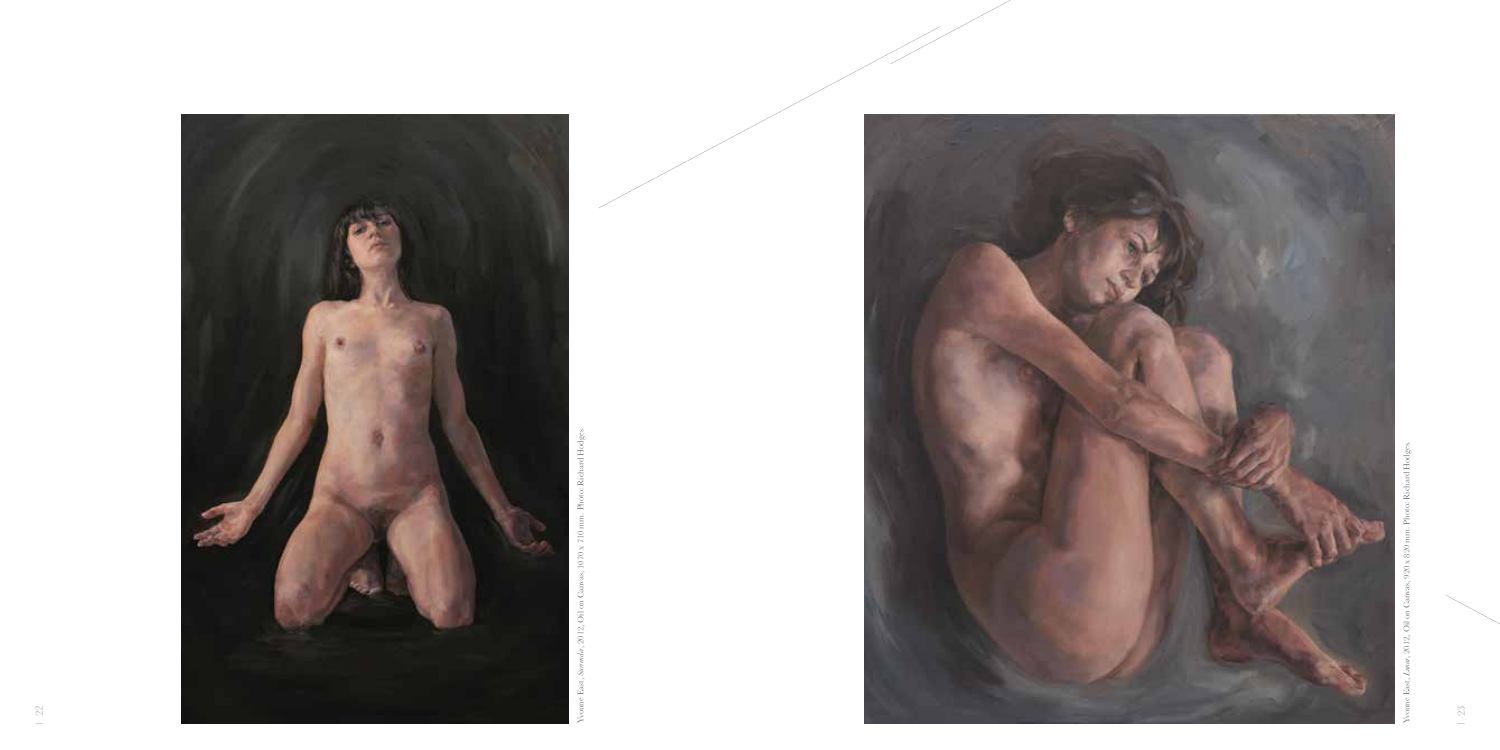

Yvonne East, *Surrender*, 2012, Oil on Canvas, 1070 x 710 mm. Photo: Richard Hodges.



Yvonne East, *Lunar*, 2012, Oil on Canvas, 920 x 820 mm. Photo: Richard Hodges.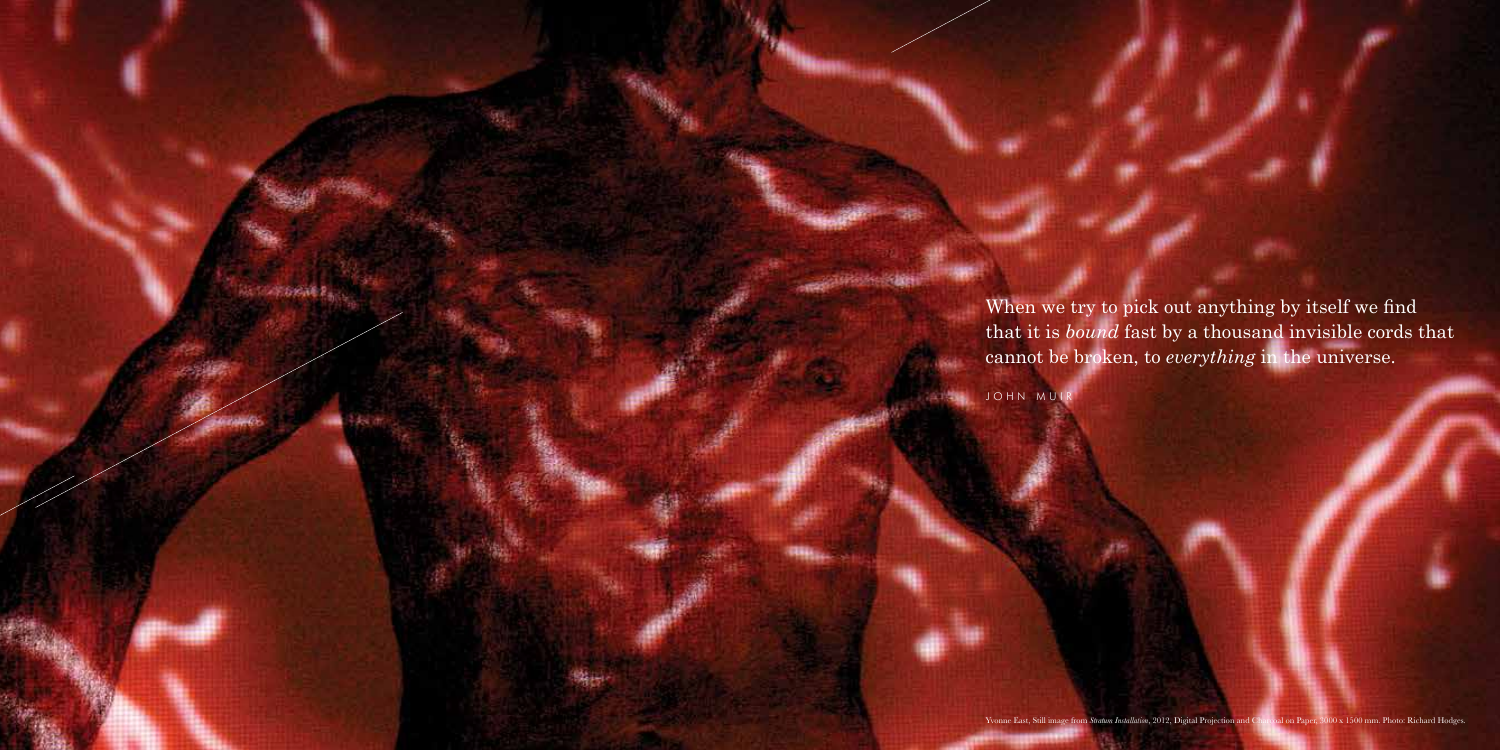When we try to pick out anything by itself we find that it is *bound* fast by a thousand invisible cords that cannot be broken, to *everything* in the universe.

JOHN MUIR

Martin Australia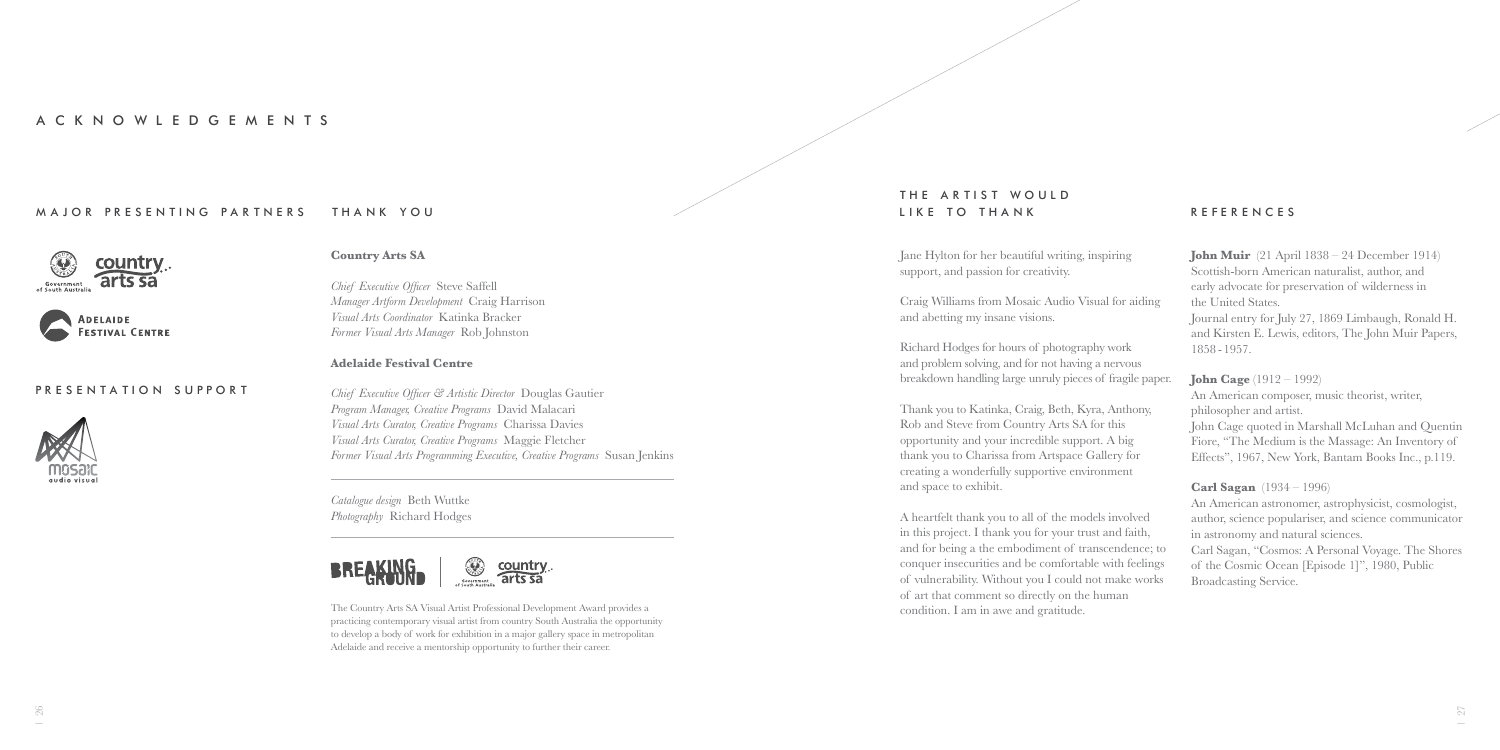## ACKNOWLEDGEMENTS

#### MAJOR PRESENTING PARTNERS THANK YOU





### PRESENTATION SUPPORT



#### **Country Arts SA**

*Chief Executive Officer* Steve Saffell *Manager Artform Development* Craig Harrison *Visual Arts Coordinator* Katinka Bracker *Former Visual Arts Manager* Rob Johnston

#### **Adelaide Festival Centre**

*Chief Executive Officer & Artistic Director* Douglas Gautier *Program Manager, Creative Programs* David Malacari *Visual Arts Curator, Creative Programs* Charissa Davies *Visual Arts Curator, Creative Programs* Maggie Fletcher *Former Visual Arts Programming Executive, Creative Programs* Susan Jenkins

*Catalogue design* Beth Wuttke *Photography* Richard Hodges



The Country Arts SA Visual Artist Professional Development Award provides a practicing contemporary visual artist from country South Australia the opportunity to develop a body of work for exhibition in a major gallery space in metropolitan Adelaide and receive a mentorship opportunity to further their career.

## THE ARTIST WOULD LIKE TO THANK REFERENCES

Jane Hylton for her beautiful writing, inspiring support, and passion for creativity.

Craig Williams from Mosaic Audio Visual for aiding and abetting my insane visions.

Richard Hodges for hours of photography work and problem solving, and for not having a nervous breakdown handling large unruly pieces of fragile paper.

Thank you to Katinka, Craig, Beth, Kyra, Anthony, Rob and Steve from Country Arts SA for this opportunity and your incredible support. A big thank you to Charissa from Artspace Gallery for creating a wonderfully supportive environment and space to exhibit.

A heartfelt thank you to all of the models involved in this project. I thank you for your trust and faith, and for being a the embodiment of transcendence; to conquer insecurities and be comfortable with feelings of vulnerability. Without you I could not make works of art that comment so directly on the human condition. I am in awe and gratitude.

**John Muir** (21 April 1838 – 24 December 1914) Scottish-born American naturalist, author, and early advocate for preservation of wilderness in the United States.

Journal entry for July 27, 1869 Limbaugh, Ronald H. and Kirsten E. Lewis, editors, The John Muir Papers, 1858 - 1957.

#### **John Cage** (1912 – 1992)

An American composer, music theorist, writer, philosopher and artist. John Cage quoted in Marshall McLuhan and Quentin Fiore, "The Medium is the Massage: An Inventory of Effects", 1967, New York, Bantam Books Inc., p.119.

#### **Carl Sagan** (1934 – 1996)

An American astronomer, astrophysicist, cosmologist, author, science populariser, and science communicator in astronomy and natural sciences. Carl Sagan, "Cosmos: A Personal Voyage. The Shores of the Cosmic Ocean [Episode 1]", 1980, Public Broadcasting Service.